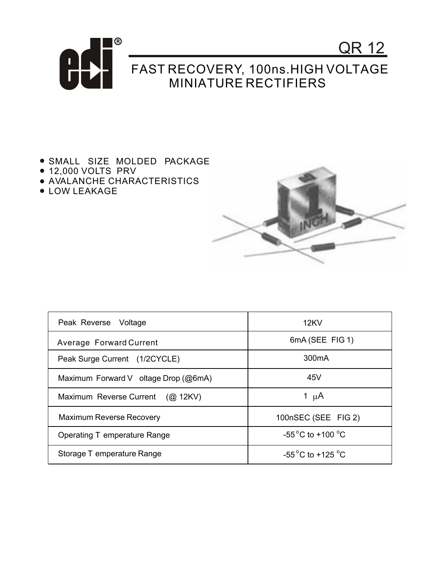

- **.** SMALL SIZE MOLDED PACKAGE
- 12,000 VOLTS PRV
- AVALANCHE CHARACTERISTICS
- LOW LEAKAGE



| Peak Reverse Voltage                 | 12KV                                |
|--------------------------------------|-------------------------------------|
| Average Forward Current              | 6mA (SEE FIG 1)                     |
| Peak Surge Current (1/2CYCLE)        | 300 <sub>m</sub> A                  |
| Maximum Forward V oltage Drop (@6mA) | 45V                                 |
| Maximum Reverse Current (@ 12KV)     | 1 $\mu$ A                           |
| <b>Maximum Reverse Recovery</b>      | 100nSEC (SEE FIG 2)                 |
| Operating T emperature Range         | $-55^{\circ}$ C to $+100^{\circ}$ C |
| Storage T emperature Range           | $-55^{\circ}$ C to $+125^{\circ}$ C |